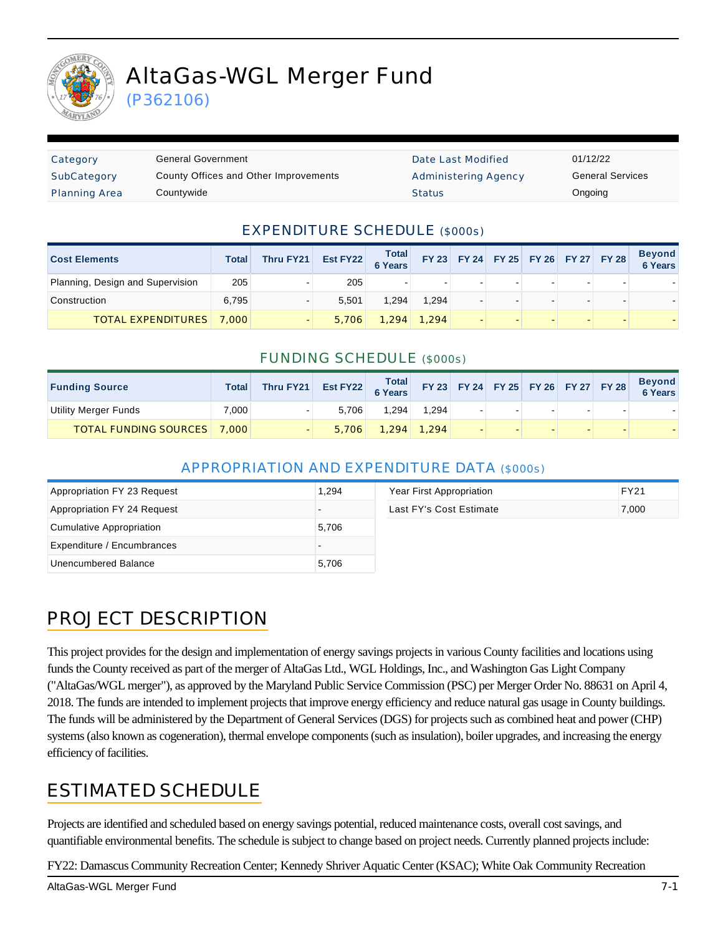

# AltaGas-WGL Merger Fund

(P362106)

| Category             | General Government                    | Date Last Modified   | 01/12/22 |
|----------------------|---------------------------------------|----------------------|----------|
| SubCategory          | County Offices and Other Improvements | Administering Agency | General  |
| <b>Planning Area</b> | Countywide                            | <b>Status</b>        | Ongoing  |

Date Last Modified 01/12/22 Administering Agency **General Services** 

#### EXPENDITURE SCHEDULE (\$000s)

| <b>Cost Elements</b>             | Total | Thru FY21 | Est FY22 | Total<br>6 Years | FY 23 FY 24 FY 25 FY 26 FY 27 FY 28 |  |  | <b>Beyond</b><br>6 Years |
|----------------------------------|-------|-----------|----------|------------------|-------------------------------------|--|--|--------------------------|
| Planning, Design and Supervision | 205   |           | 205      | $\blacksquare$   |                                     |  |  |                          |
| Construction                     | 6.795 |           | 5.501    | 1.294            | 1.294                               |  |  |                          |
| <b>TOTAL EXPENDITURES</b> 7,000  |       |           | 5,706    | 1.294            | 1.294                               |  |  |                          |

#### FUNDING SCHEDULE (\$000s)

| <b>Funding Source</b>              | <b>Total</b> | Thru FY21 | Est FY22 Total FY 23 FY 24 FY 25 FY 26 FY 27 FY 28 |       |               |        |  |        | Beyond<br>6 Years |
|------------------------------------|--------------|-----------|----------------------------------------------------|-------|---------------|--------|--|--------|-------------------|
| Utility Merger Funds               | 7.000        |           | 5.706                                              | 1.294 | 1.294         | $\sim$ |  | $\sim$ |                   |
| <b>TOTAL FUNDING SOURCES</b> 7,000 |              |           | 5.706                                              |       | $1.294$ 1.294 |        |  |        |                   |

#### APPROPRIATION AND EXPENDITURE DATA (\$000s)

| Appropriation FY 23 Request | 1.294 | Year First Appropriation | <b>FY21</b> |
|-----------------------------|-------|--------------------------|-------------|
| Appropriation FY 24 Request |       | Last FY's Cost Estimate  | 7,000       |
| Cumulative Appropriation    | 5,706 |                          |             |
| Expenditure / Encumbrances  |       |                          |             |
| Unencumbered Balance        | 5,706 |                          |             |

#### PROJECT DESCRIPTION

This project provides for the design and implementation of energy savings projects in various County facilities and locations using funds the County received as part of the merger of AltaGas Ltd., WGL Holdings, Inc., and Washington Gas Light Company ("AltaGas/WGL merger"), as approved by the Maryland Public Service Commission (PSC) per Merger Order No. 88631 on April 4, 2018. The funds are intended to implement projects that improve energy efficiency and reduce natural gas usage in County buildings. The funds will be administered by the Department of General Services (DGS) for projects such as combined heat and power (CHP) systems (also known as cogeneration), thermal envelope components (such as insulation), boiler upgrades, and increasing the energy efficiency of facilities.

#### ESTIMATED SCHEDULE

Projects are identified and scheduled based on energy savings potential, reduced maintenance costs, overall cost savings, and quantifiable environmental benefits. The schedule is subject to change based on project needs. Currently planned projects include:

FY22: Damascus Community Recreation Center; Kennedy Shriver Aquatic Center (KSAC); White Oak Community Recreation